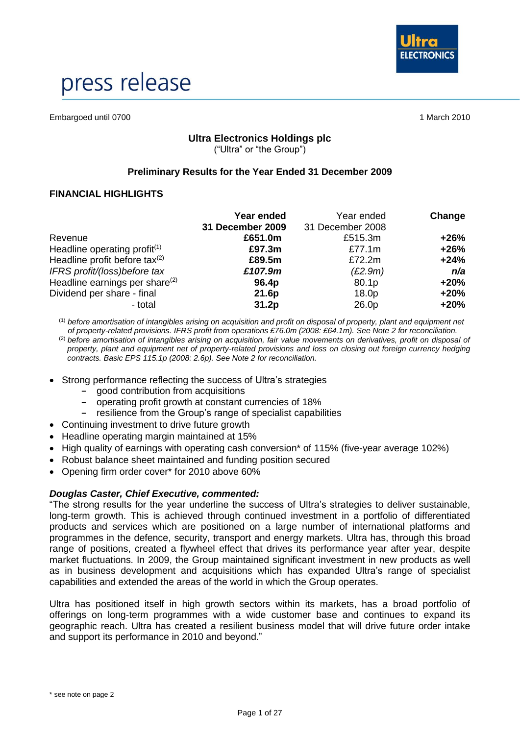

# press release

Embargoed until 0700 1 March 2010

#### **Ultra Electronics Holdings plc** ("Ultra" or "the Group")

#### **Preliminary Results for the Year Ended 31 December 2009**

#### **FINANCIAL HIGHLIGHTS**

|                                   | Year ended<br>31 December 2009 | Year ended<br>31 December 2008 | Change |
|-----------------------------------|--------------------------------|--------------------------------|--------|
| Revenue                           | £651.0m                        | £515.3m                        | $+26%$ |
| Headline operating profit $(1)$   | £97.3m                         | £77.1m                         | $+26%$ |
| Headline profit before tax(2)     | £89.5m                         | £72.2m                         | $+24%$ |
| IFRS profit/(loss)before tax      | £107.9m                        | (E2.9m)                        | n/a    |
| Headline earnings per share $(2)$ | 96.4p                          | 80.1p                          | $+20%$ |
| Dividend per share - final        | 21.6p                          | 18.0p                          | $+20%$ |
| - total                           | 31.2p                          | 26.0p                          | $+20%$ |

(1) *before amortisation of intangibles arising on acquisition and profit on disposal of property, plant and equipment net of property-related provisions. IFRS profit from operations £76.0m (2008: £64.1m). See Note 2 for reconciliation.* (2) *before amortisation of intangibles arising on acquisition, fair value movements on derivatives, profit on disposal of property, plant and equipment net of property-related provisions and loss on closing out foreign currency hedging contracts. Basic EPS 115.1p (2008: 2.6p). See Note 2 for reconciliation.*

- Strong performance reflecting the success of Ultra's strategies
	- **-** good contribution from acquisitions
	- **-** operating profit growth at constant currencies of 18%
	- **-** resilience from the Group's range of specialist capabilities
- Continuing investment to drive future growth
- Headline operating margin maintained at 15%
- High quality of earnings with operating cash conversion\* of 115% (five-year average 102%)
- Robust balance sheet maintained and funding position secured
- Opening firm order cover\* for 2010 above 60%

#### *Douglas Caster, Chief Executive, commented:*

"The strong results for the year underline the success of Ultra's strategies to deliver sustainable, long-term growth. This is achieved through continued investment in a portfolio of differentiated products and services which are positioned on a large number of international platforms and programmes in the defence, security, transport and energy markets. Ultra has, through this broad range of positions, created a flywheel effect that drives its performance year after year, despite market fluctuations. In 2009, the Group maintained significant investment in new products as well as in business development and acquisitions which has expanded Ultra's range of specialist capabilities and extended the areas of the world in which the Group operates.

Ultra has positioned itself in high growth sectors within its markets, has a broad portfolio of offerings on long-term programmes with a wide customer base and continues to expand its geographic reach. Ultra has created a resilient business model that will drive future order intake and support its performance in 2010 and beyond."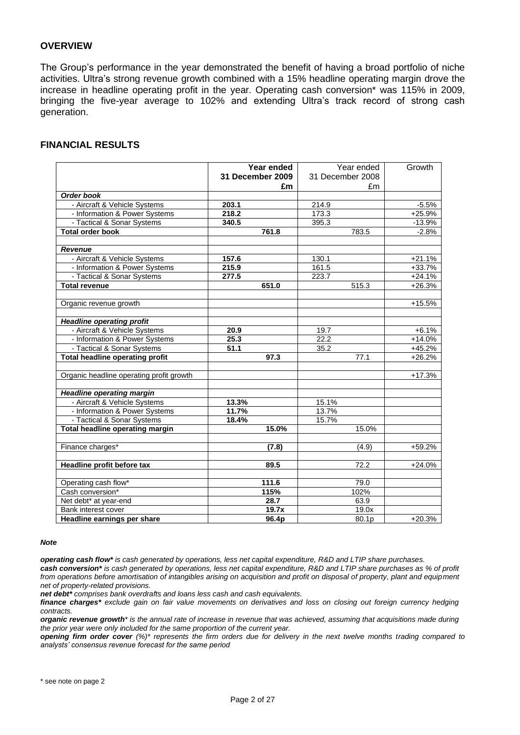#### **OVERVIEW**

The Group's performance in the year demonstrated the benefit of having a broad portfolio of niche activities. Ultra's strong revenue growth combined with a 15% headline operating margin drove the increase in headline operating profit in the year. Operating cash conversion\* was 115% in 2009, bringing the five-year average to 102% and extending Ultra's track record of strong cash generation.

#### **FINANCIAL RESULTS**

|                                          | Year ended       |    |                  | Year ended | Growth   |
|------------------------------------------|------------------|----|------------------|------------|----------|
|                                          | 31 December 2009 |    | 31 December 2008 |            |          |
|                                          |                  | £m |                  | £m         |          |
| <b>Order book</b>                        |                  |    |                  |            |          |
| - Aircraft & Vehicle Systems             | 203.1            |    | 214.9            |            | $-5.5%$  |
| - Information & Power Systems            | 218.2            |    | 173.3            |            | $+25.9%$ |
| - Tactical & Sonar Systems               | 340.5            |    | 395.3            |            | $-13.9%$ |
| <b>Total order book</b>                  | 761.8            |    |                  | 783.5      | $-2.8%$  |
|                                          |                  |    |                  |            |          |
| Revenue                                  |                  |    |                  |            |          |
| - Aircraft & Vehicle Systems             | 157.6            |    | 130.1            |            | $+21.1%$ |
| - Information & Power Systems            | 215.9            |    | 161.5            |            | $+33.7%$ |
| - Tactical & Sonar Systems               | 277.5            |    | 223.7            |            | $+24.1%$ |
| <b>Total revenue</b>                     | 651.0            |    |                  | 515.3      | $+26.3%$ |
|                                          |                  |    |                  |            |          |
| Organic revenue growth                   |                  |    |                  |            | $+15.5%$ |
|                                          |                  |    |                  |            |          |
| <b>Headline operating profit</b>         |                  |    |                  |            |          |
| - Aircraft & Vehicle Systems             | 20.9             |    | 19.7             |            | $+6.1%$  |
| - Information & Power Systems            | 25.3             |    | 22.2             |            | $+14.0%$ |
| - Tactical & Sonar Systems               | 51.1             |    | 35.2             |            | $+45.2%$ |
| <b>Total headline operating profit</b>   | 97.3             |    |                  | 77.1       | $+26.2%$ |
|                                          |                  |    |                  |            |          |
| Organic headline operating profit growth |                  |    |                  |            | $+17.3%$ |
| <b>Headline operating margin</b>         |                  |    |                  |            |          |
| - Aircraft & Vehicle Systems             | 13.3%            |    | 15.1%            |            |          |
| - Information & Power Systems            | 11.7%            |    | 13.7%            |            |          |
| - Tactical & Sonar Systems               | 18.4%            |    | 15.7%            |            |          |
| <b>Total headline operating margin</b>   | 15.0%            |    |                  | 15.0%      |          |
|                                          |                  |    |                  |            |          |
| Finance charges*                         | (7.8)            |    |                  | (4.9)      | +59.2%   |
|                                          |                  |    |                  |            |          |
| Headline profit before tax               | 89.5             |    |                  | 72.2       | $+24.0%$ |
|                                          |                  |    |                  |            |          |
| Operating cash flow*                     | 111.6            |    |                  | 79.0       |          |
| Cash conversion*                         | 115%             |    |                  | 102%       |          |
| Net debt* at year-end                    | 28.7             |    |                  | 63.9       |          |
| Bank interest cover                      | 19.7x            |    |                  | 19.0x      |          |
| Headline earnings per share              | 96.4p            |    |                  | 80.1p      | $+20.3%$ |

#### *Note*

*operating cash flow\* is cash generated by operations, less net capital expenditure, R&D and LTIP share purchases.*

*cash conversion\* is cash generated by operations, less net capital expenditure, R&D and LTIP share purchases as % of profit from operations before amortisation of intangibles arising on acquisition and profit on disposal of property, plant and equipment net of property-related provisions.*

*net debt\* comprises bank overdrafts and loans less cash and cash equivalents.*

*finance charges\* exclude gain on fair value movements on derivatives and loss on closing out foreign currency hedging contracts.*

*organic revenue growth\* is the annual rate of increase in revenue that was achieved, assuming that acquisitions made during the prior year were only included for the same proportion of the current year.*

*opening firm order cover (%)\* represents the firm orders due for delivery in the next twelve months trading compared to analysts' consensus revenue forecast for the same period*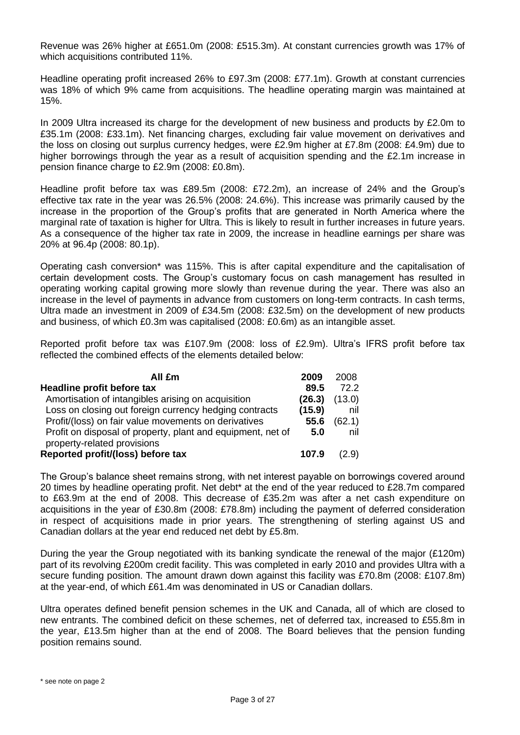Revenue was 26% higher at £651.0m (2008: £515.3m). At constant currencies growth was 17% of which acquisitions contributed 11%.

Headline operating profit increased 26% to £97.3m (2008: £77.1m). Growth at constant currencies was 18% of which 9% came from acquisitions. The headline operating margin was maintained at 15%.

In 2009 Ultra increased its charge for the development of new business and products by £2.0m to £35.1m (2008: £33.1m). Net financing charges, excluding fair value movement on derivatives and the loss on closing out surplus currency hedges, were £2.9m higher at £7.8m (2008: £4.9m) due to higher borrowings through the year as a result of acquisition spending and the £2.1m increase in pension finance charge to £2.9m (2008: £0.8m).

Headline profit before tax was £89.5m (2008: £72.2m), an increase of 24% and the Group's effective tax rate in the year was 26.5% (2008: 24.6%). This increase was primarily caused by the increase in the proportion of the Group's profits that are generated in North America where the marginal rate of taxation is higher for Ultra. This is likely to result in further increases in future years. As a consequence of the higher tax rate in 2009, the increase in headline earnings per share was 20% at 96.4p (2008: 80.1p).

Operating cash conversion\* was 115%. This is after capital expenditure and the capitalisation of certain development costs. The Group's customary focus on cash management has resulted in operating working capital growing more slowly than revenue during the year. There was also an increase in the level of payments in advance from customers on long-term contracts. In cash terms, Ultra made an investment in 2009 of £34.5m (2008: £32.5m) on the development of new products and business, of which £0.3m was capitalised (2008: £0.6m) as an intangible asset.

Reported profit before tax was £107.9m (2008: loss of £2.9m). Ultra's IFRS profit before tax reflected the combined effects of the elements detailed below:

| All £m                                                      | 2009   | 2008   |
|-------------------------------------------------------------|--------|--------|
| Headline profit before tax                                  | 89.5   | 72.2   |
| Amortisation of intangibles arising on acquisition          | (26.3) | (13.0) |
| Loss on closing out foreign currency hedging contracts      | (15.9) | nil    |
| Profit/(loss) on fair value movements on derivatives        | 55.6   | (62.1) |
| Profit on disposal of property, plant and equipment, net of | 5.0    | nil    |
| property-related provisions                                 |        |        |
| Reported profit/(loss) before tax                           | 107.9  | (2.9)  |

The Group's balance sheet remains strong, with net interest payable on borrowings covered around 20 times by headline operating profit. Net debt\* at the end of the year reduced to £28.7m compared to £63.9m at the end of 2008. This decrease of £35.2m was after a net cash expenditure on acquisitions in the year of £30.8m (2008: £78.8m) including the payment of deferred consideration in respect of acquisitions made in prior years. The strengthening of sterling against US and Canadian dollars at the year end reduced net debt by £5.8m.

During the year the Group negotiated with its banking syndicate the renewal of the major (£120m) part of its revolving £200m credit facility. This was completed in early 2010 and provides Ultra with a secure funding position. The amount drawn down against this facility was £70.8m (2008: £107.8m) at the year-end, of which £61.4m was denominated in US or Canadian dollars.

Ultra operates defined benefit pension schemes in the UK and Canada, all of which are closed to new entrants. The combined deficit on these schemes, net of deferred tax, increased to £55.8m in the year, £13.5m higher than at the end of 2008. The Board believes that the pension funding position remains sound.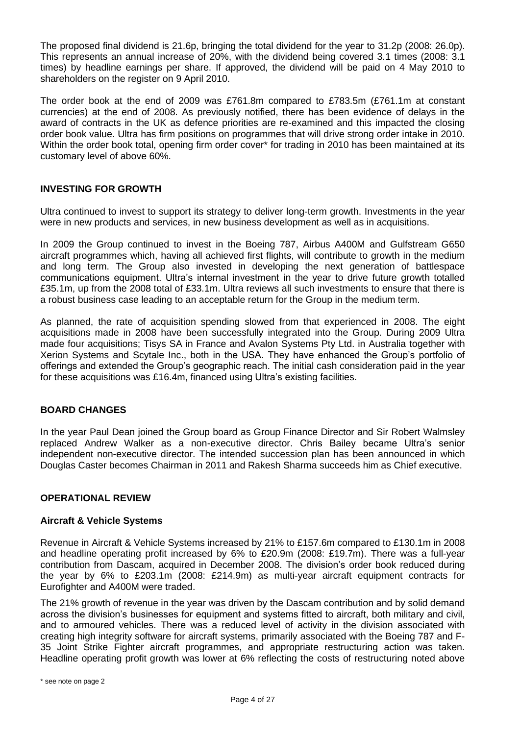The proposed final dividend is 21.6p, bringing the total dividend for the year to 31.2p (2008: 26.0p). This represents an annual increase of 20%, with the dividend being covered 3.1 times (2008: 3.1 times) by headline earnings per share. If approved, the dividend will be paid on 4 May 2010 to shareholders on the register on 9 April 2010.

The order book at the end of 2009 was £761.8m compared to £783.5m (£761.1m at constant currencies) at the end of 2008. As previously notified, there has been evidence of delays in the award of contracts in the UK as defence priorities are re-examined and this impacted the closing order book value. Ultra has firm positions on programmes that will drive strong order intake in 2010. Within the order book total, opening firm order cover\* for trading in 2010 has been maintained at its customary level of above 60%.

#### **INVESTING FOR GROWTH**

Ultra continued to invest to support its strategy to deliver long-term growth. Investments in the year were in new products and services, in new business development as well as in acquisitions.

In 2009 the Group continued to invest in the Boeing 787, Airbus A400M and Gulfstream G650 aircraft programmes which, having all achieved first flights, will contribute to growth in the medium and long term. The Group also invested in developing the next generation of battlespace communications equipment. Ultra's internal investment in the year to drive future growth totalled £35.1m, up from the 2008 total of £33.1m. Ultra reviews all such investments to ensure that there is a robust business case leading to an acceptable return for the Group in the medium term.

As planned, the rate of acquisition spending slowed from that experienced in 2008. The eight acquisitions made in 2008 have been successfully integrated into the Group. During 2009 Ultra made four acquisitions; Tisys SA in France and Avalon Systems Pty Ltd. in Australia together with Xerion Systems and Scytale Inc., both in the USA. They have enhanced the Group's portfolio of offerings and extended the Group's geographic reach. The initial cash consideration paid in the year for these acquisitions was £16.4m, financed using Ultra's existing facilities.

#### **BOARD CHANGES**

In the year Paul Dean joined the Group board as Group Finance Director and Sir Robert Walmsley replaced Andrew Walker as a non-executive director. Chris Bailey became Ultra's senior independent non-executive director. The intended succession plan has been announced in which Douglas Caster becomes Chairman in 2011 and Rakesh Sharma succeeds him as Chief executive.

#### **OPERATIONAL REVIEW**

#### **Aircraft & Vehicle Systems**

Revenue in Aircraft & Vehicle Systems increased by 21% to £157.6m compared to £130.1m in 2008 and headline operating profit increased by 6% to £20.9m (2008: £19.7m). There was a full-year contribution from Dascam, acquired in December 2008. The division's order book reduced during the year by 6% to £203.1m (2008: £214.9m) as multi-year aircraft equipment contracts for Eurofighter and A400M were traded.

The 21% growth of revenue in the year was driven by the Dascam contribution and by solid demand across the division's businesses for equipment and systems fitted to aircraft, both military and civil, and to armoured vehicles. There was a reduced level of activity in the division associated with creating high integrity software for aircraft systems, primarily associated with the Boeing 787 and F-35 Joint Strike Fighter aircraft programmes, and appropriate restructuring action was taken. Headline operating profit growth was lower at 6% reflecting the costs of restructuring noted above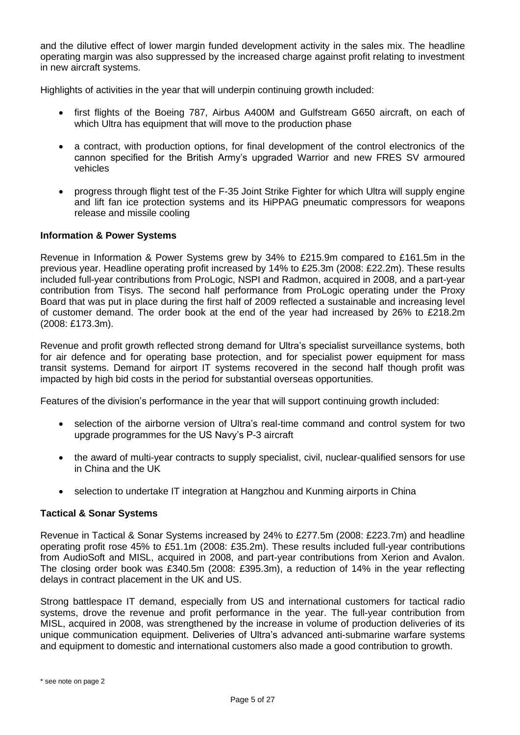and the dilutive effect of lower margin funded development activity in the sales mix. The headline operating margin was also suppressed by the increased charge against profit relating to investment in new aircraft systems.

Highlights of activities in the year that will underpin continuing growth included:

- first flights of the Boeing 787, Airbus A400M and Gulfstream G650 aircraft, on each of which Ultra has equipment that will move to the production phase
- a contract, with production options, for final development of the control electronics of the cannon specified for the British Army's upgraded Warrior and new FRES SV armoured vehicles
- progress through flight test of the F-35 Joint Strike Fighter for which Ultra will supply engine and lift fan ice protection systems and its HiPPAG pneumatic compressors for weapons release and missile cooling

#### **Information & Power Systems**

Revenue in Information & Power Systems grew by 34% to £215.9m compared to £161.5m in the previous year. Headline operating profit increased by 14% to £25.3m (2008: £22.2m). These results included full-year contributions from ProLogic, NSPI and Radmon, acquired in 2008, and a part-year contribution from Tisys. The second half performance from ProLogic operating under the Proxy Board that was put in place during the first half of 2009 reflected a sustainable and increasing level of customer demand. The order book at the end of the year had increased by 26% to £218.2m (2008: £173.3m).

Revenue and profit growth reflected strong demand for Ultra's specialist surveillance systems, both for air defence and for operating base protection, and for specialist power equipment for mass transit systems. Demand for airport IT systems recovered in the second half though profit was impacted by high bid costs in the period for substantial overseas opportunities.

Features of the division's performance in the year that will support continuing growth included:

- selection of the airborne version of Ultra's real-time command and control system for two upgrade programmes for the US Navy's P-3 aircraft
- the award of multi-year contracts to supply specialist, civil, nuclear-qualified sensors for use in China and the UK
- selection to undertake IT integration at Hangzhou and Kunming airports in China

#### **Tactical & Sonar Systems**

Revenue in Tactical & Sonar Systems increased by 24% to £277.5m (2008: £223.7m) and headline operating profit rose 45% to £51.1m (2008: £35.2m). These results included full-year contributions from AudioSoft and MISL, acquired in 2008, and part-year contributions from Xerion and Avalon. The closing order book was £340.5m (2008: £395.3m), a reduction of 14% in the year reflecting delays in contract placement in the UK and US.

Strong battlespace IT demand, especially from US and international customers for tactical radio systems, drove the revenue and profit performance in the year. The full-year contribution from MISL, acquired in 2008, was strengthened by the increase in volume of production deliveries of its unique communication equipment. Deliveries of Ultra's advanced anti-submarine warfare systems and equipment to domestic and international customers also made a good contribution to growth.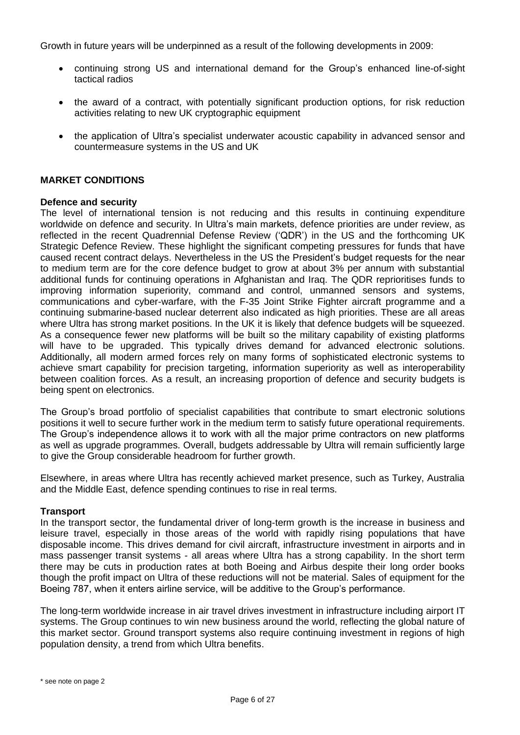Growth in future years will be underpinned as a result of the following developments in 2009:

- continuing strong US and international demand for the Group's enhanced line-of-sight tactical radios
- the award of a contract, with potentially significant production options, for risk reduction activities relating to new UK cryptographic equipment
- the application of Ultra's specialist underwater acoustic capability in advanced sensor and countermeasure systems in the US and UK

#### **MARKET CONDITIONS**

#### **Defence and security**

The level of international tension is not reducing and this results in continuing expenditure worldwide on defence and security. In Ultra's main markets, defence priorities are under review, as reflected in the recent Quadrennial Defense Review ('QDR') in the US and the forthcoming UK Strategic Defence Review. These highlight the significant competing pressures for funds that have caused recent contract delays. Nevertheless in the US the President's budget requests for the near to medium term are for the core defence budget to grow at about 3% per annum with substantial additional funds for continuing operations in Afghanistan and Iraq. The QDR reprioritises funds to improving information superiority, command and control, unmanned sensors and systems, communications and cyber-warfare, with the F-35 Joint Strike Fighter aircraft programme and a continuing submarine-based nuclear deterrent also indicated as high priorities. These are all areas where Ultra has strong market positions. In the UK it is likely that defence budgets will be squeezed. As a consequence fewer new platforms will be built so the military capability of existing platforms will have to be upgraded. This typically drives demand for advanced electronic solutions. Additionally, all modern armed forces rely on many forms of sophisticated electronic systems to achieve smart capability for precision targeting, information superiority as well as interoperability between coalition forces. As a result, an increasing proportion of defence and security budgets is being spent on electronics.

The Group's broad portfolio of specialist capabilities that contribute to smart electronic solutions positions it well to secure further work in the medium term to satisfy future operational requirements. The Group's independence allows it to work with all the major prime contractors on new platforms as well as upgrade programmes. Overall, budgets addressable by Ultra will remain sufficiently large to give the Group considerable headroom for further growth.

Elsewhere, in areas where Ultra has recently achieved market presence, such as Turkey, Australia and the Middle East, defence spending continues to rise in real terms.

#### **Transport**

In the transport sector, the fundamental driver of long-term growth is the increase in business and leisure travel, especially in those areas of the world with rapidly rising populations that have disposable income. This drives demand for civil aircraft, infrastructure investment in airports and in mass passenger transit systems - all areas where Ultra has a strong capability. In the short term there may be cuts in production rates at both Boeing and Airbus despite their long order books though the profit impact on Ultra of these reductions will not be material. Sales of equipment for the Boeing 787, when it enters airline service, will be additive to the Group's performance.

The long-term worldwide increase in air travel drives investment in infrastructure including airport IT systems. The Group continues to win new business around the world, reflecting the global nature of this market sector. Ground transport systems also require continuing investment in regions of high population density, a trend from which Ultra benefits.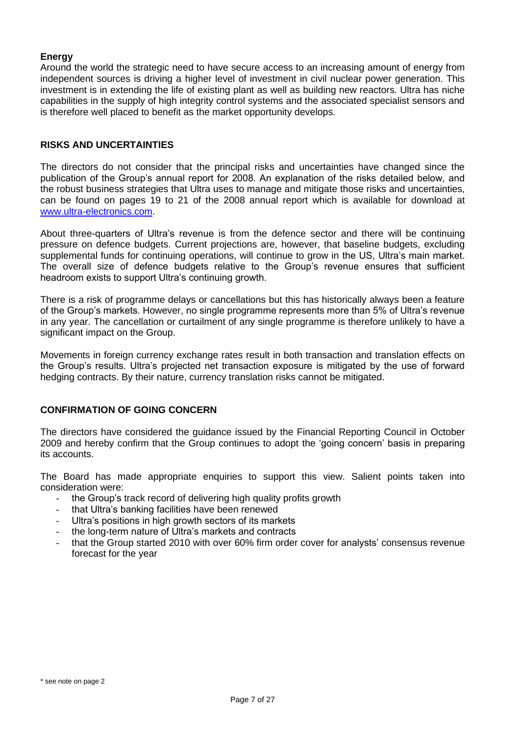#### **Energy**

Around the world the strategic need to have secure access to an increasing amount of energy from independent sources is driving a higher level of investment in civil nuclear power generation. This investment is in extending the life of existing plant as well as building new reactors. Ultra has niche capabilities in the supply of high integrity control systems and the associated specialist sensors and is therefore well placed to benefit as the market opportunity develops.

#### **RISKS AND UNCERTAINTIES**

The directors do not consider that the principal risks and uncertainties have changed since the publication of the Group's annual report for 2008. An explanation of the risks detailed below, and the robust business strategies that Ultra uses to manage and mitigate those risks and uncertainties, can be found on pages 19 to 21 of the 2008 annual report which is available for download at [www.ultra-electronics.com.](file:///C:/Documents%20and%20Settings/Documents%20and%20Settings/TrumperC/Local%20Settings/Temporary%20Internet%20Files/OLK62/www.ultra-electronics.com)

About three-quarters of Ultra's revenue is from the defence sector and there will be continuing pressure on defence budgets. Current projections are, however, that baseline budgets, excluding supplemental funds for continuing operations, will continue to grow in the US, Ultra's main market. The overall size of defence budgets relative to the Group's revenue ensures that sufficient headroom exists to support Ultra's continuing growth.

There is a risk of programme delays or cancellations but this has historically always been a feature of the Group's markets. However, no single programme represents more than 5% of Ultra's revenue in any year. The cancellation or curtailment of any single programme is therefore unlikely to have a significant impact on the Group.

Movements in foreign currency exchange rates result in both transaction and translation effects on the Group's results. Ultra's projected net transaction exposure is mitigated by the use of forward hedging contracts. By their nature, currency translation risks cannot be mitigated.

#### **CONFIRMATION OF GOING CONCERN**

The directors have considered the guidance issued by the Financial Reporting Council in October 2009 and hereby confirm that the Group continues to adopt the 'going concern' basis in preparing its accounts.

The Board has made appropriate enquiries to support this view. Salient points taken into consideration were:

- the Group's track record of delivering high quality profits growth
- that Ultra's banking facilities have been renewed
- Ultra's positions in high growth sectors of its markets
- the long-term nature of Ultra's markets and contracts
- that the Group started 2010 with over 60% firm order cover for analysts' consensus revenue forecast for the year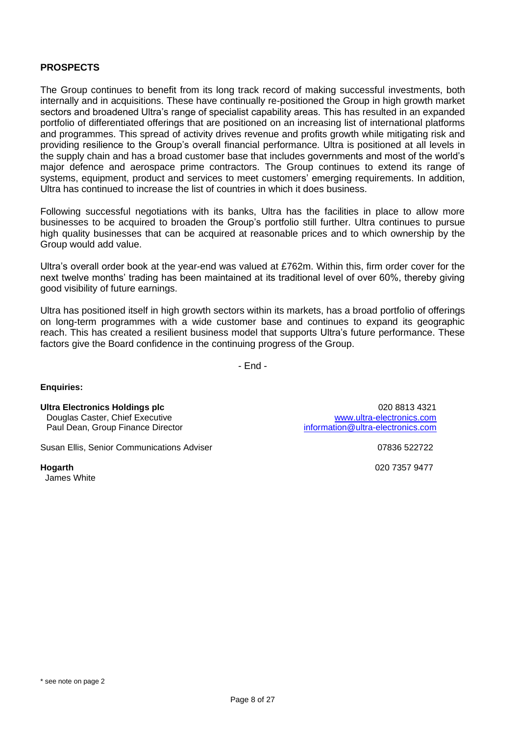# **PROSPECTS**

The Group continues to benefit from its long track record of making successful investments, both internally and in acquisitions. These have continually re-positioned the Group in high growth market sectors and broadened Ultra's range of specialist capability areas. This has resulted in an expanded portfolio of differentiated offerings that are positioned on an increasing list of international platforms and programmes. This spread of activity drives revenue and profits growth while mitigating risk and providing resilience to the Group's overall financial performance. Ultra is positioned at all levels in the supply chain and has a broad customer base that includes governments and most of the world's major defence and aerospace prime contractors. The Group continues to extend its range of systems, equipment, product and services to meet customers' emerging requirements. In addition, Ultra has continued to increase the list of countries in which it does business.

Following successful negotiations with its banks, Ultra has the facilities in place to allow more businesses to be acquired to broaden the Group's portfolio still further. Ultra continues to pursue high quality businesses that can be acquired at reasonable prices and to which ownership by the Group would add value.

Ultra's overall order book at the year-end was valued at £762m. Within this, firm order cover for the next twelve months' trading has been maintained at its traditional level of over 60%, thereby giving good visibility of future earnings.

Ultra has positioned itself in high growth sectors within its markets, has a broad portfolio of offerings on long-term programmes with a wide customer base and continues to expand its geographic reach. This has created a resilient business model that supports Ultra's future performance. These factors give the Board confidence in the continuing progress of the Group.

- End -

#### **Enquiries:**

Douglas Caster, Chief Executive<br>
Paul Dean, Group Finance Director<br>
information@ultra-electronics.com Paul Dean, Group Finance Director

Susan Ellis, Senior Communications Adviser 07836 522722

James White

**Ultra Electronics Holdings plc** 020 8813 4321

**Hogarth** 020 7357 9477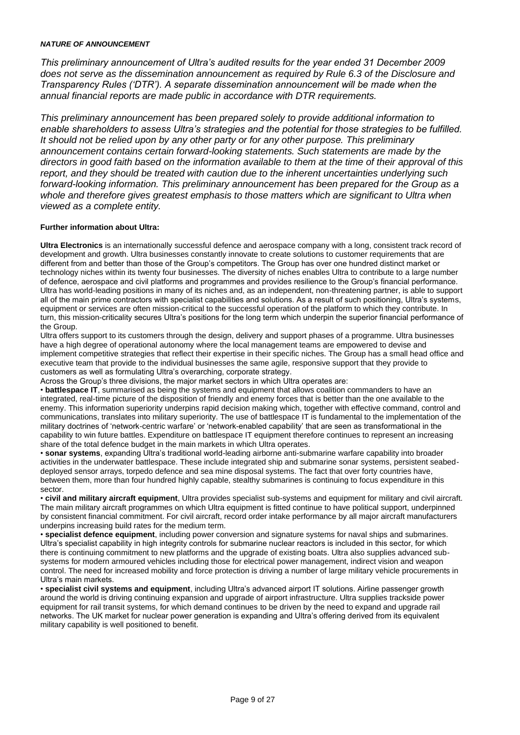#### *NATURE OF ANNOUNCEMENT*

*This preliminary announcement of Ultra's audited results for the year ended 31 December 2009 does not serve as the dissemination announcement as required by Rule 6.3 of the Disclosure and Transparency Rules ('DTR'). A separate dissemination announcement will be made when the annual financial reports are made public in accordance with DTR requirements.*

*This preliminary announcement has been prepared solely to provide additional information to enable shareholders to assess Ultra's strategies and the potential for those strategies to be fulfilled. It should not be relied upon by any other party or for any other purpose. This preliminary announcement contains certain forward-looking statements. Such statements are made by the directors in good faith based on the information available to them at the time of their approval of this report, and they should be treated with caution due to the inherent uncertainties underlying such forward-looking information. This preliminary announcement has been prepared for the Group as a whole and therefore gives greatest emphasis to those matters which are significant to Ultra when viewed as a complete entity.*

#### **Further information about Ultra:**

**Ultra Electronics** is an internationally successful defence and aerospace company with a long, consistent track record of development and growth. Ultra businesses constantly innovate to create solutions to customer requirements that are different from and better than those of the Group's competitors. The Group has over one hundred distinct market or technology niches within its twenty four businesses. The diversity of niches enables Ultra to contribute to a large number of defence, aerospace and civil platforms and programmes and provides resilience to the Group's financial performance. Ultra has world-leading positions in many of its niches and, as an independent, non-threatening partner, is able to support all of the main prime contractors with specialist capabilities and solutions. As a result of such positioning, Ultra's systems, equipment or services are often mission-critical to the successful operation of the platform to which they contribute. In turn, this mission-criticality secures Ultra's positions for the long term which underpin the superior financial performance of the Group.

Ultra offers support to its customers through the design, delivery and support phases of a programme. Ultra businesses have a high degree of operational autonomy where the local management teams are empowered to devise and implement competitive strategies that reflect their expertise in their specific niches. The Group has a small head office and executive team that provide to the individual businesses the same agile, responsive support that they provide to customers as well as formulating Ultra's overarching, corporate strategy.

Across the Group's three divisions, the major market sectors in which Ultra operates are:

• **battlespace IT**, summarised as being the systems and equipment that allows coalition commanders to have an integrated, real-time picture of the disposition of friendly and enemy forces that is better than the one available to the enemy. This information superiority underpins rapid decision making which, together with effective command, control and communications, translates into military superiority. The use of battlespace IT is fundamental to the implementation of the military doctrines of 'network-centric warfare' or 'network-enabled capability' that are seen as transformational in the capability to win future battles. Expenditure on battlespace IT equipment therefore continues to represent an increasing share of the total defence budget in the main markets in which Ultra operates.

• **sonar systems**, expanding Ultra's traditional world-leading airborne anti-submarine warfare capability into broader activities in the underwater battlespace. These include integrated ship and submarine sonar systems, persistent seabeddeployed sensor arrays, torpedo defence and sea mine disposal systems. The fact that over forty countries have, between them, more than four hundred highly capable, stealthy submarines is continuing to focus expenditure in this sector.

• **civil and military aircraft equipment**, Ultra provides specialist sub-systems and equipment for military and civil aircraft. The main military aircraft programmes on which Ultra equipment is fitted continue to have political support, underpinned by consistent financial commitment. For civil aircraft, record order intake performance by all major aircraft manufacturers underpins increasing build rates for the medium term.

• **specialist defence equipment**, including power conversion and signature systems for naval ships and submarines. Ultra's specialist capability in high integrity controls for submarine nuclear reactors is included in this sector, for which there is continuing commitment to new platforms and the upgrade of existing boats. Ultra also supplies advanced subsystems for modern armoured vehicles including those for electrical power management, indirect vision and weapon control. The need for increased mobility and force protection is driving a number of large military vehicle procurements in Ultra's main markets.

• **specialist civil systems and equipment**, including Ultra's advanced airport IT solutions. Airline passenger growth around the world is driving continuing expansion and upgrade of airport infrastructure. Ultra supplies trackside power equipment for rail transit systems, for which demand continues to be driven by the need to expand and upgrade rail networks. The UK market for nuclear power generation is expanding and Ultra's offering derived from its equivalent military capability is well positioned to benefit.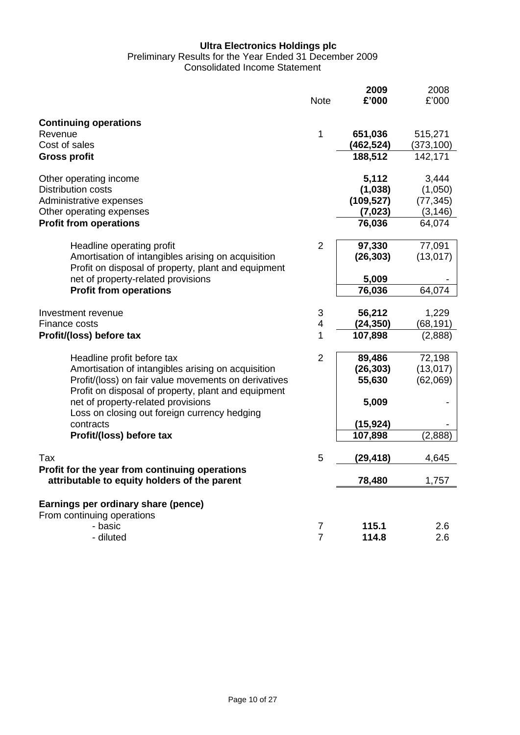#### **Ultra Electronics Holdings plc**

# Preliminary Results for the Year Ended 31 December 2009

Consolidated Income Statement

|                                                                                                                                                                                                 | <b>Note</b>                    | 2009<br>£'000                   | 2008<br>£'000                   |
|-------------------------------------------------------------------------------------------------------------------------------------------------------------------------------------------------|--------------------------------|---------------------------------|---------------------------------|
| <b>Continuing operations</b><br>Revenue<br>Cost of sales                                                                                                                                        | 1                              | 651,036<br>(462,524)<br>188,512 | 515,271<br>(373, 100)           |
| <b>Gross profit</b>                                                                                                                                                                             |                                |                                 | 142,171                         |
| Other operating income<br><b>Distribution costs</b><br>Administrative expenses                                                                                                                  |                                | 5,112<br>(1,038)<br>(109, 527)  | 3,444<br>(1,050)<br>(77, 345)   |
| Other operating expenses                                                                                                                                                                        |                                | (7, 023)                        | (3, 146)                        |
| <b>Profit from operations</b>                                                                                                                                                                   |                                | 76,036                          | 64,074                          |
| Headline operating profit<br>Amortisation of intangibles arising on acquisition<br>Profit on disposal of property, plant and equipment                                                          | $\overline{2}$                 | 97,330<br>(26, 303)             | 77,091<br>(13, 017)             |
| net of property-related provisions                                                                                                                                                              |                                | 5,009                           |                                 |
| <b>Profit from operations</b>                                                                                                                                                                   |                                | 76,036                          | 64,074                          |
| Investment revenue<br>Finance costs                                                                                                                                                             | $\ensuremath{\mathsf{3}}$<br>4 | 56,212<br>(24, 350)             | 1,229<br>(68, 191)              |
| Profit/(loss) before tax                                                                                                                                                                        | 1                              | 107,898                         | (2,888)                         |
| Headline profit before tax<br>Amortisation of intangibles arising on acquisition<br>Profit/(loss) on fair value movements on derivatives<br>Profit on disposal of property, plant and equipment | $\overline{2}$                 | 89,486<br>(26, 303)<br>55,630   | 72,198<br>(13, 017)<br>(62,069) |
| net of property-related provisions<br>Loss on closing out foreign currency hedging<br>contracts                                                                                                 |                                | 5,009<br>(15, 924)              |                                 |
| Profit/(loss) before tax                                                                                                                                                                        |                                | 107,898                         | (2,888)                         |
| Tax                                                                                                                                                                                             | 5                              | (29, 418)                       | 4,645                           |
| Profit for the year from continuing operations<br>attributable to equity holders of the parent                                                                                                  |                                | 78,480                          | 1,757                           |
| Earnings per ordinary share (pence)<br>From continuing operations                                                                                                                               |                                |                                 |                                 |
| - basic                                                                                                                                                                                         | $\overline{7}$                 | 115.1                           | 2.6                             |
| - diluted                                                                                                                                                                                       | $\overline{7}$                 | 114.8                           | 2.6                             |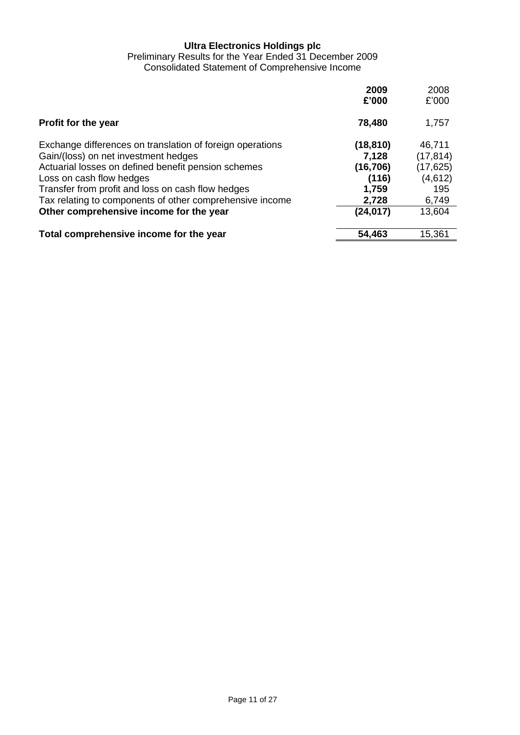#### **Ultra Electronics Holdings plc**

Preliminary Results for the Year Ended 31 December 2009 Consolidated Statement of Comprehensive Income

|                                                                                                                                                                                                                                                                                                                                                  | 2009<br>£'000                                                          | 2008<br>£'000                                                         |
|--------------------------------------------------------------------------------------------------------------------------------------------------------------------------------------------------------------------------------------------------------------------------------------------------------------------------------------------------|------------------------------------------------------------------------|-----------------------------------------------------------------------|
| Profit for the year                                                                                                                                                                                                                                                                                                                              | 78,480                                                                 | 1,757                                                                 |
| Exchange differences on translation of foreign operations<br>Gain/(loss) on net investment hedges<br>Actuarial losses on defined benefit pension schemes<br>Loss on cash flow hedges<br>Transfer from profit and loss on cash flow hedges<br>Tax relating to components of other comprehensive income<br>Other comprehensive income for the year | (18, 810)<br>7,128<br>(16, 706)<br>(116)<br>1,759<br>2,728<br>(24,017) | 46,711<br>(17, 814)<br>(17, 625)<br>(4,612)<br>195<br>6,749<br>13,604 |
| Total comprehensive income for the year                                                                                                                                                                                                                                                                                                          | 54,463                                                                 | 15,361                                                                |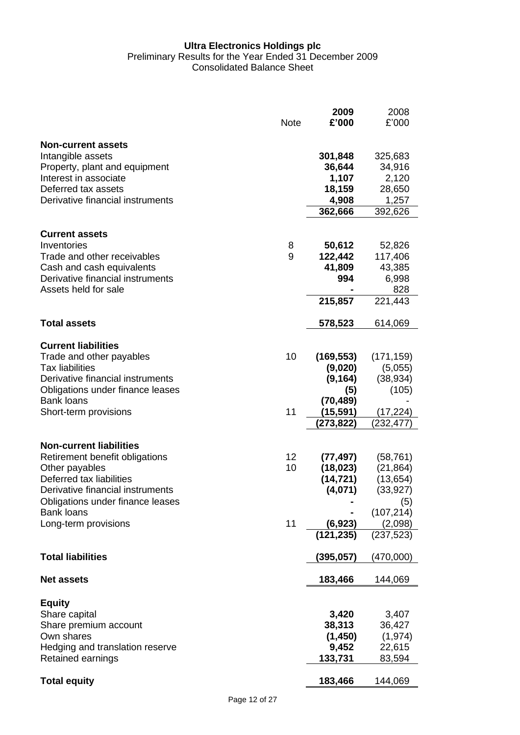#### **Ultra Electronics Holdings plc** Preliminary Results for the Year Ended 31 December 2009 Consolidated Balance Sheet

|                                                                                                                                                                               | <b>Note</b> | 2009<br>£'000                                            | 2008<br>£'000                                            |
|-------------------------------------------------------------------------------------------------------------------------------------------------------------------------------|-------------|----------------------------------------------------------|----------------------------------------------------------|
| <b>Non-current assets</b><br>Intangible assets<br>Property, plant and equipment<br>Interest in associate<br>Deferred tax assets<br>Derivative financial instruments           |             | 301,848<br>36,644<br>1,107<br>18,159<br>4,908<br>362,666 | 325,683<br>34,916<br>2,120<br>28,650<br>1,257<br>392,626 |
| <b>Current assets</b>                                                                                                                                                         |             |                                                          |                                                          |
| Inventories<br>Trade and other receivables<br>Cash and cash equivalents<br>Derivative financial instruments<br>Assets held for sale                                           | 8<br>9      | 50,612<br>122,442<br>41,809<br>994                       | 52,826<br>117,406<br>43,385<br>6,998<br>828              |
| <b>Total assets</b>                                                                                                                                                           |             | 215,857<br>578,523                                       | 221,443<br>614,069                                       |
|                                                                                                                                                                               |             |                                                          |                                                          |
| <b>Current liabilities</b><br>Trade and other payables<br><b>Tax liabilities</b><br>Derivative financial instruments<br>Obligations under finance leases<br><b>Bank loans</b> | 10          | (169, 553)<br>(9,020)<br>(9, 164)<br>(5)<br>(70, 489)    | (171, 159)<br>(5,055)<br>(38, 934)<br>(105)              |
| Short-term provisions                                                                                                                                                         | 11          | (15,591)<br>(273,822)                                    | (17, 224)<br>(232, 477)                                  |
| <b>Non-current liabilities</b><br>Retirement benefit obligations                                                                                                              | 12<br>10    | (77,497)<br>(18, 023)                                    | (58, 761)<br>(21, 864)                                   |
| Other payables<br>Deferred tax liabilities<br>Derivative financial instruments<br>Obligations under finance leases                                                            |             | (14, 721)<br>(4,071)                                     | (13, 654)<br>(33, 927)<br>(5)                            |
| <b>Bank loans</b><br>Long-term provisions                                                                                                                                     | 11          | (6,923)                                                  | (107, 214)<br>(2,098)                                    |
|                                                                                                                                                                               |             | (121, 235)                                               | (237, 523)                                               |
| <b>Total liabilities</b>                                                                                                                                                      |             | (395,057)                                                | (470,000)                                                |
| <b>Net assets</b>                                                                                                                                                             |             | 183,466                                                  | 144,069                                                  |
| <b>Equity</b>                                                                                                                                                                 |             |                                                          |                                                          |
| Share capital<br>Share premium account<br>Own shares<br>Hedging and translation reserve<br>Retained earnings                                                                  |             | 3,420<br>38,313<br>(1, 450)<br>9,452<br>133,731          | 3,407<br>36,427<br>(1, 974)<br>22,615<br>83,594          |
| <b>Total equity</b>                                                                                                                                                           |             | 183,466                                                  | 144,069                                                  |
|                                                                                                                                                                               |             |                                                          |                                                          |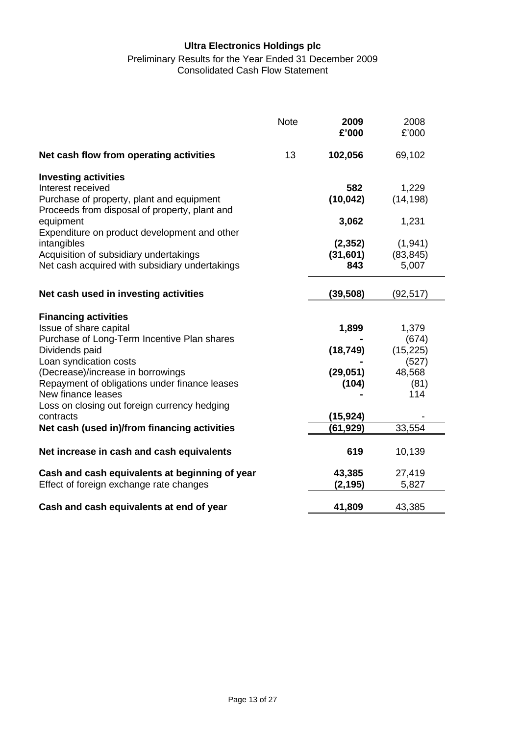# **Ultra Electronics Holdings plc**

#### Preliminary Results for the Year Ended 31 December 2009 Consolidated Cash Flow Statement

|                                                                                            | <b>Note</b> | 2009<br>£'000      | 2008<br>£'000      |
|--------------------------------------------------------------------------------------------|-------------|--------------------|--------------------|
| Net cash flow from operating activities                                                    | 13          | 102,056            | 69,102             |
| <b>Investing activities</b>                                                                |             |                    |                    |
| Interest received                                                                          |             | 582<br>(10, 042)   | 1,229<br>(14, 198) |
| Purchase of property, plant and equipment<br>Proceeds from disposal of property, plant and |             |                    |                    |
| equipment                                                                                  |             | 3,062              | 1,231              |
| Expenditure on product development and other                                               |             |                    |                    |
| intangibles                                                                                |             | (2, 352)           | (1,941)            |
| Acquisition of subsidiary undertakings                                                     |             | (31, 601)          | (83, 845)          |
| Net cash acquired with subsidiary undertakings                                             |             | 843                | 5,007              |
| Net cash used in investing activities                                                      |             | (39, 508)          | (92, 517)          |
|                                                                                            |             |                    |                    |
| <b>Financing activities</b>                                                                |             |                    |                    |
| Issue of share capital                                                                     |             | 1,899              | 1,379              |
| Purchase of Long-Term Incentive Plan shares                                                |             |                    | (674)              |
| Dividends paid                                                                             |             | (18, 749)          | (15, 225)          |
| Loan syndication costs                                                                     |             |                    | (527)              |
| (Decrease)/increase in borrowings<br>Repayment of obligations under finance leases         |             | (29, 051)<br>(104) | 48,568<br>(81)     |
| New finance leases                                                                         |             |                    | 114                |
| Loss on closing out foreign currency hedging                                               |             |                    |                    |
| contracts                                                                                  |             | (15, 924)          |                    |
| Net cash (used in)/from financing activities                                               |             | (61,929)           | 33,554             |
|                                                                                            |             |                    |                    |
| Net increase in cash and cash equivalents                                                  |             | 619                | 10,139             |
| Cash and cash equivalents at beginning of year                                             |             | 43,385             | 27,419             |
| Effect of foreign exchange rate changes                                                    |             | (2, 195)           | 5,827              |
| Cash and cash equivalents at end of year                                                   |             | 41,809             | 43,385             |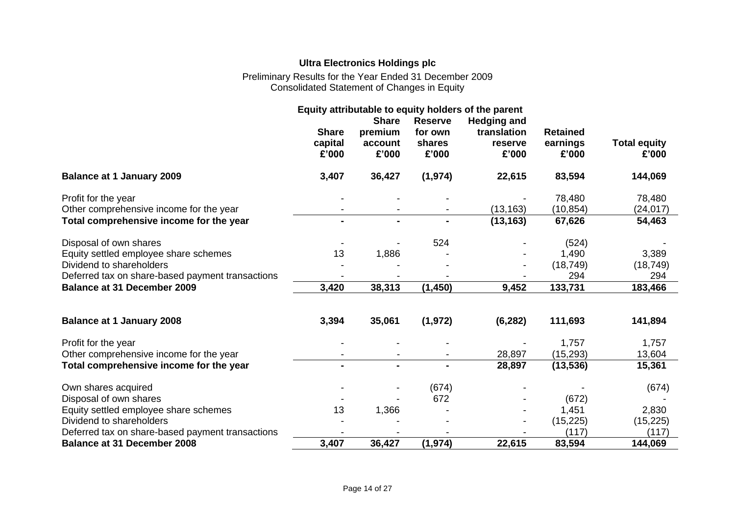# **Ultra Electronics Holdings plc**

Preliminary Results for the Year Ended 31 December 2009 Consolidated Statement of Changes in Equity

|                                                  | Equity attributable to equity holders of the parent |                                             |                                              |                                                       |                                      |                              |
|--------------------------------------------------|-----------------------------------------------------|---------------------------------------------|----------------------------------------------|-------------------------------------------------------|--------------------------------------|------------------------------|
|                                                  | <b>Share</b><br>capital<br>£'000                    | <b>Share</b><br>premium<br>account<br>£'000 | <b>Reserve</b><br>for own<br>shares<br>£'000 | <b>Hedging and</b><br>translation<br>reserve<br>£'000 | <b>Retained</b><br>earnings<br>£'000 | <b>Total equity</b><br>£'000 |
| <b>Balance at 1 January 2009</b>                 | 3,407                                               | 36,427                                      | (1, 974)                                     | 22,615                                                | 83,594                               | 144,069                      |
| Profit for the year                              |                                                     |                                             |                                              |                                                       | 78,480                               | 78,480                       |
| Other comprehensive income for the year          |                                                     |                                             |                                              | (13, 163)                                             | (10, 854)                            | (24, 017)                    |
| Total comprehensive income for the year          |                                                     | $\blacksquare$                              |                                              | (13, 163)                                             | 67,626                               | 54,463                       |
| Disposal of own shares                           |                                                     |                                             | 524                                          |                                                       | (524)                                |                              |
| Equity settled employee share schemes            | 13                                                  | 1,886                                       |                                              |                                                       | 1,490                                | 3,389                        |
| Dividend to shareholders                         |                                                     |                                             |                                              |                                                       | (18, 749)                            | (18, 749)                    |
| Deferred tax on share-based payment transactions |                                                     |                                             |                                              |                                                       | 294                                  | 294                          |
| <b>Balance at 31 December 2009</b>               | 3,420                                               | 38,313                                      | (1, 450)                                     | 9,452                                                 | 133,731                              | 183,466                      |
| <b>Balance at 1 January 2008</b>                 | 3,394                                               | 35,061                                      | (1, 972)                                     | (6, 282)                                              | 111,693                              | 141,894                      |
| Profit for the year                              |                                                     |                                             |                                              |                                                       | 1,757                                | 1,757                        |
| Other comprehensive income for the year          |                                                     |                                             |                                              | 28,897                                                | (15, 293)                            | 13,604                       |
| Total comprehensive income for the year          |                                                     |                                             |                                              | 28,897                                                | (13, 536)                            | 15,361                       |
| Own shares acquired                              |                                                     |                                             | (674)                                        |                                                       |                                      | (674)                        |
| Disposal of own shares                           |                                                     |                                             | 672                                          |                                                       | (672)                                |                              |
| Equity settled employee share schemes            | 13                                                  | 1,366                                       |                                              |                                                       | 1,451                                | 2,830                        |
| Dividend to shareholders                         |                                                     |                                             |                                              |                                                       | (15, 225)                            | (15, 225)                    |
| Deferred tax on share-based payment transactions |                                                     |                                             |                                              |                                                       | (117)                                | (117)                        |
| <b>Balance at 31 December 2008</b>               | 3,407                                               | 36,427                                      | (1, 974)                                     | 22,615                                                | 83,594                               | 144,069                      |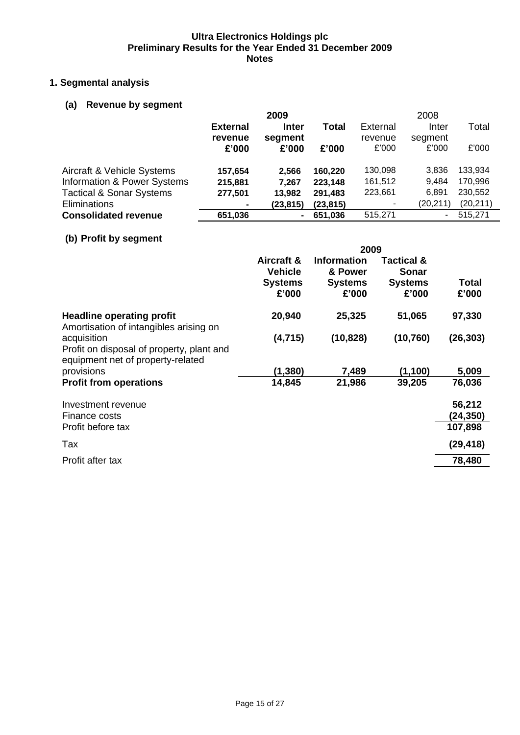# **1. Segmental analysis**

# **(a) Revenue by segment**

|                                     |                 | 2009         |           |                 | 2008     |           |
|-------------------------------------|-----------------|--------------|-----------|-----------------|----------|-----------|
|                                     | <b>External</b> | <b>Inter</b> | Total     | <b>External</b> | Inter    | Total     |
|                                     | revenue         | segment      |           | revenue         | segment  |           |
|                                     | £'000           | £'000        | £'000     | £'000           | £'000    | £'000     |
| Aircraft & Vehicle Systems          | 157,654         | 2.566        | 160,220   | 130,098         | 3.836    | 133,934   |
| Information & Power Systems         | 215,881         | 7.267        | 223,148   | 161,512         | 9.484    | 170,996   |
| <b>Tactical &amp; Sonar Systems</b> | 277,501         | 13,982       | 291,483   | 223,661         | 6.891    | 230,552   |
| Eliminations                        | ۰               | (23, 815)    | (23, 815) |                 | (20,211) | (20, 211) |
| <b>Consolidated revenue</b>         | 651,036         |              | 651,036   | 515,271         | ۰        | 515,271   |

# **(b) Profit by segment**

|                                                                                               | 2009                         |                               |                            |                |  |
|-----------------------------------------------------------------------------------------------|------------------------------|-------------------------------|----------------------------|----------------|--|
|                                                                                               | Aircraft &<br><b>Vehicle</b> | <b>Information</b><br>& Power | Tactical &<br><b>Sonar</b> |                |  |
|                                                                                               | <b>Systems</b><br>£'000      | <b>Systems</b><br>£'000       | <b>Systems</b><br>£'000    | Total<br>£'000 |  |
| <b>Headline operating profit</b><br>Amortisation of intangibles arising on                    | 20,940                       | 25,325                        | 51,065                     | 97,330         |  |
| acquisition<br>Profit on disposal of property, plant and<br>equipment net of property-related | (4, 715)                     | (10, 828)                     | (10, 760)                  | (26, 303)      |  |
| provisions                                                                                    | (1,380)                      | 7,489                         | (1, 100)                   | 5,009          |  |
| <b>Profit from operations</b>                                                                 | 14,845                       | 21,986                        | 39,205                     | 76,036         |  |
| Investment revenue                                                                            |                              |                               |                            | 56,212         |  |
| Finance costs                                                                                 |                              |                               |                            | (24,350)       |  |
| Profit before tax                                                                             |                              |                               |                            | 107,898        |  |
| Tax                                                                                           |                              |                               |                            | (29, 418)      |  |
| Profit after tax                                                                              |                              |                               |                            | 78,480         |  |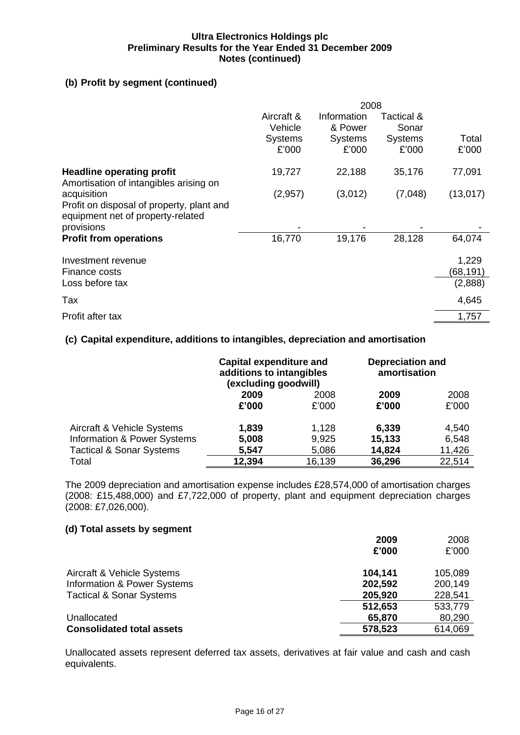## **(b) Profit by segment (continued)**

|                                                                                                             | 2008                    |                         |                         |                               |
|-------------------------------------------------------------------------------------------------------------|-------------------------|-------------------------|-------------------------|-------------------------------|
|                                                                                                             | Aircraft &<br>Vehicle   | Information<br>& Power  | Tactical &<br>Sonar     |                               |
|                                                                                                             | <b>Systems</b><br>£'000 | <b>Systems</b><br>£'000 | <b>Systems</b><br>£'000 | Total<br>£'000                |
| <b>Headline operating profit</b><br>Amortisation of intangibles arising on                                  | 19,727                  | 22,188                  | 35,176                  | 77,091                        |
| acquisition<br>Profit on disposal of property, plant and<br>equipment net of property-related<br>provisions | (2,957)                 | (3,012)                 | (7,048)                 | (13,017)                      |
| <b>Profit from operations</b>                                                                               | 16,770                  | 19,176                  | 28,128                  | 64,074                        |
| Investment revenue<br>Finance costs<br>Loss before tax                                                      |                         |                         |                         | 1,229<br>(68, 191)<br>(2,888) |
| Tax                                                                                                         |                         |                         |                         | 4,645                         |
| Profit after tax                                                                                            |                         |                         |                         | 1,757                         |

#### **(c) Capital expenditure, additions to intangibles, depreciation and amortisation**

|                                     | <b>Capital expenditure and</b><br>additions to intangibles<br>(excluding goodwill) |        | <b>Depreciation and</b><br>amortisation |        |  |  |
|-------------------------------------|------------------------------------------------------------------------------------|--------|-----------------------------------------|--------|--|--|
|                                     | 2009                                                                               | 2008   | 2009                                    | 2008   |  |  |
|                                     | £'000                                                                              | £'000  | £'000                                   | £'000  |  |  |
| Aircraft & Vehicle Systems          | 1,839                                                                              | 1,128  | 6,339                                   | 4,540  |  |  |
| Information & Power Systems         | 5,008                                                                              | 9,925  | 15,133                                  | 6,548  |  |  |
| <b>Tactical &amp; Sonar Systems</b> | 5,547                                                                              | 5,086  | 14,824                                  | 11,426 |  |  |
| Total                               | 12,394                                                                             | 16,139 | 36,296                                  | 22,514 |  |  |

The 2009 depreciation and amortisation expense includes £28,574,000 of amortisation charges (2008: £15,488,000) and £7,722,000 of property, plant and equipment depreciation charges (2008: £7,026,000).

#### **(d) Total assets by segment**

| 2009<br>£'000 | 2008<br>£'000 |
|---------------|---------------|
| 104,141       | 105,089       |
| 202,592       | 200,149       |
| 205,920       | 228,541       |
| 512,653       | 533,779       |
| 65,870        | 80,290        |
| 578,523       | 614,069       |
|               |               |

Unallocated assets represent deferred tax assets, derivatives at fair value and cash and cash equivalents.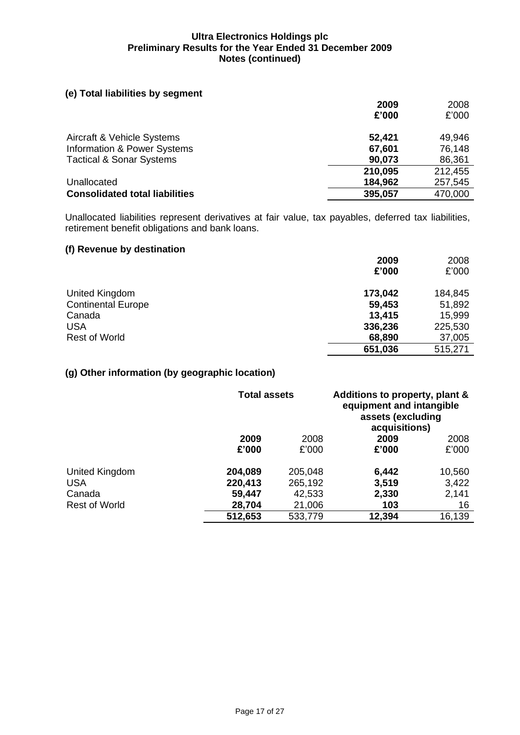#### **(e) Total liabilities by segment**

|                                       | 2009    | 2008    |
|---------------------------------------|---------|---------|
|                                       | £'000   | £'000   |
| Aircraft & Vehicle Systems            | 52,421  | 49,946  |
| Information & Power Systems           | 67,601  | 76,148  |
| <b>Tactical &amp; Sonar Systems</b>   | 90,073  | 86,361  |
|                                       | 210,095 | 212,455 |
| Unallocated                           | 184,962 | 257,545 |
| <b>Consolidated total liabilities</b> | 395,057 | 470,000 |
|                                       |         |         |

Unallocated liabilities represent derivatives at fair value, tax payables, deferred tax liabilities, retirement benefit obligations and bank loans.

# **(f) Revenue by destination**

|                           | 2009    | 2008    |
|---------------------------|---------|---------|
|                           | £'000   | £'000   |
| United Kingdom            | 173,042 | 184,845 |
| <b>Continental Europe</b> | 59,453  | 51,892  |
| Canada                    | 13,415  | 15,999  |
| <b>USA</b>                | 336,236 | 225,530 |
| <b>Rest of World</b>      | 68,890  | 37,005  |
|                           | 651,036 | 515,271 |

#### **(g) Other information (by geographic location)**

|                      | <b>Total assets</b> |         | Additions to property, plant &<br>equipment and intangible<br>assets (excluding<br>acquisitions) |        |
|----------------------|---------------------|---------|--------------------------------------------------------------------------------------------------|--------|
|                      | 2009                | 2008    | 2009                                                                                             | 2008   |
|                      | £'000               | £'000   | £'000                                                                                            | £'000  |
| United Kingdom       | 204,089             | 205,048 | 6,442                                                                                            | 10,560 |
| <b>USA</b>           | 220,413             | 265,192 | 3,519                                                                                            | 3,422  |
| Canada               | 59,447              | 42,533  | 2,330                                                                                            | 2,141  |
| <b>Rest of World</b> | 28,704              | 21,006  | 103                                                                                              | 16     |
|                      | 512,653             | 533,779 | 12,394                                                                                           | 16,139 |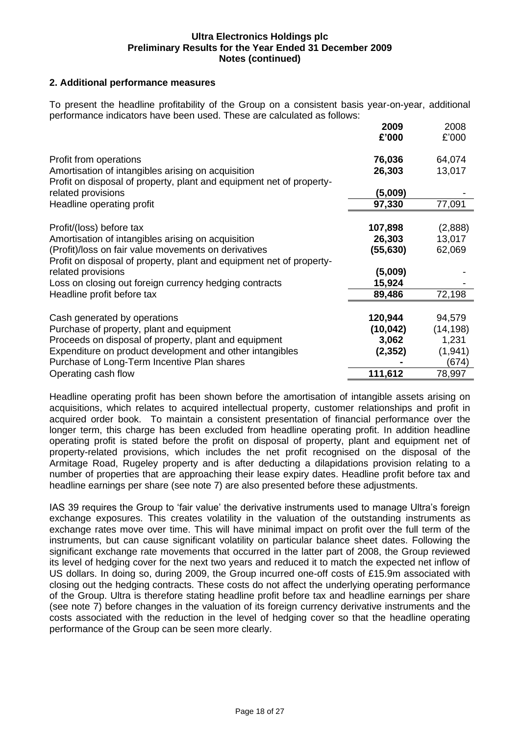#### **2. Additional performance measures**

To present the headline profitability of the Group on a consistent basis year-on-year, additional performance indicators have been used. These are calculated as follows:

|                                                                      | 2009<br>£'000 | 2008<br>£'000 |
|----------------------------------------------------------------------|---------------|---------------|
| Profit from operations                                               | 76,036        | 64,074        |
| Amortisation of intangibles arising on acquisition                   | 26,303        | 13,017        |
| Profit on disposal of property, plant and equipment net of property- |               |               |
| related provisions                                                   | (5,009)       |               |
| Headline operating profit                                            | 97,330        | 77,091        |
| Profit/(loss) before tax                                             | 107,898       | (2,888)       |
| Amortisation of intangibles arising on acquisition                   | 26,303        | 13,017        |
| (Profit)/loss on fair value movements on derivatives                 | (55,630)      | 62,069        |
| Profit on disposal of property, plant and equipment net of property- |               |               |
| related provisions                                                   | (5,009)       |               |
| Loss on closing out foreign currency hedging contracts               | 15,924        |               |
| Headline profit before tax                                           | 89,486        | 72,198        |
|                                                                      |               |               |
| Cash generated by operations                                         | 120,944       | 94,579        |
| Purchase of property, plant and equipment                            | (10, 042)     | (14, 198)     |
| Proceeds on disposal of property, plant and equipment                | 3,062         | 1,231         |
| Expenditure on product development and other intangibles             | (2, 352)      | (1, 941)      |
| Purchase of Long-Term Incentive Plan shares                          |               | (674)         |
| Operating cash flow                                                  | 111,612       | 78,997        |

Headline operating profit has been shown before the amortisation of intangible assets arising on acquisitions, which relates to acquired intellectual property, customer relationships and profit in acquired order book. To maintain a consistent presentation of financial performance over the longer term, this charge has been excluded from headline operating profit. In addition headline operating profit is stated before the profit on disposal of property, plant and equipment net of property-related provisions, which includes the net profit recognised on the disposal of the Armitage Road, Rugeley property and is after deducting a dilapidations provision relating to a number of properties that are approaching their lease expiry dates. Headline profit before tax and headline earnings per share (see note 7) are also presented before these adjustments.

IAS 39 requires the Group to 'fair value' the derivative instruments used to manage Ultra's foreign exchange exposures. This creates volatility in the valuation of the outstanding instruments as exchange rates move over time. This will have minimal impact on profit over the full term of the instruments, but can cause significant volatility on particular balance sheet dates. Following the significant exchange rate movements that occurred in the latter part of 2008, the Group reviewed its level of hedging cover for the next two years and reduced it to match the expected net inflow of US dollars. In doing so, during 2009, the Group incurred one-off costs of £15.9m associated with closing out the hedging contracts. These costs do not affect the underlying operating performance of the Group. Ultra is therefore stating headline profit before tax and headline earnings per share (see note 7) before changes in the valuation of its foreign currency derivative instruments and the costs associated with the reduction in the level of hedging cover so that the headline operating performance of the Group can be seen more clearly.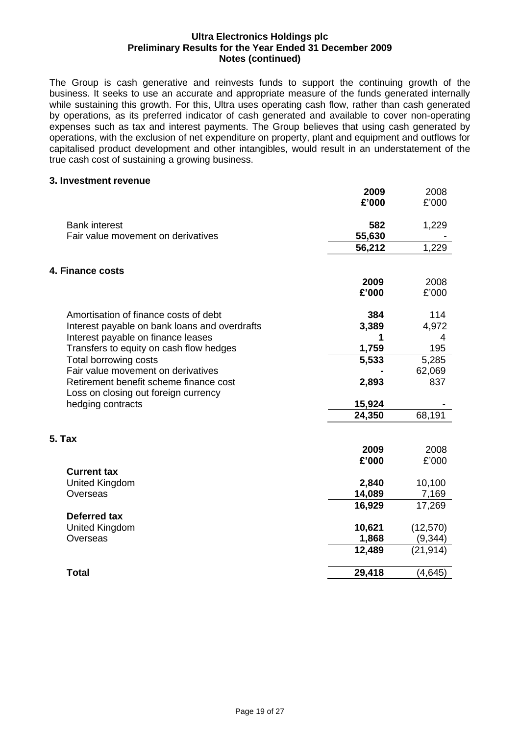The Group is cash generative and reinvests funds to support the continuing growth of the business. It seeks to use an accurate and appropriate measure of the funds generated internally while sustaining this growth. For this, Ultra uses operating cash flow, rather than cash generated by operations, as its preferred indicator of cash generated and available to cover non-operating expenses such as tax and interest payments. The Group believes that using cash generated by operations, with the exclusion of net expenditure on property, plant and equipment and outflows for capitalised product development and other intangibles, would result in an understatement of the true cash cost of sustaining a growing business.

#### **3. Investment revenue**

|                                                           | 2009<br>£'000 | 2008<br>£'000 |
|-----------------------------------------------------------|---------------|---------------|
| <b>Bank interest</b>                                      | 582           | 1,229         |
| Fair value movement on derivatives                        | 55,630        |               |
|                                                           | 56,212        | 1,229         |
| 4. Finance costs                                          |               |               |
|                                                           | 2009          | 2008          |
|                                                           | £'000         | £'000         |
| Amortisation of finance costs of debt                     | 384           | 114           |
| Interest payable on bank loans and overdrafts             | 3,389         | 4,972         |
| Interest payable on finance leases                        |               | 4             |
| Transfers to equity on cash flow hedges                   | 1,759         | 195           |
| Total borrowing costs                                     | 5,533         | 5,285         |
| Fair value movement on derivatives                        |               | 62,069        |
| Retirement benefit scheme finance cost                    | 2,893         | 837           |
| Loss on closing out foreign currency<br>hedging contracts | 15,924        |               |
|                                                           | 24,350        | 68,191        |
| <b>5. Tax</b>                                             |               |               |
|                                                           | 2009          | 2008          |
|                                                           | £'000         | £'000         |
| <b>Current tax</b>                                        |               |               |
| United Kingdom                                            | 2,840         | 10,100        |
| Overseas                                                  | 14,089        | 7,169         |
|                                                           | 16,929        | 17,269        |
| <b>Deferred tax</b>                                       |               |               |
| United Kingdom                                            | 10,621        | (12, 570)     |
| Overseas                                                  | 1,868         | (9, 344)      |
|                                                           | 12,489        | (21, 914)     |
| <b>Total</b>                                              | 29,418        | (4, 645)      |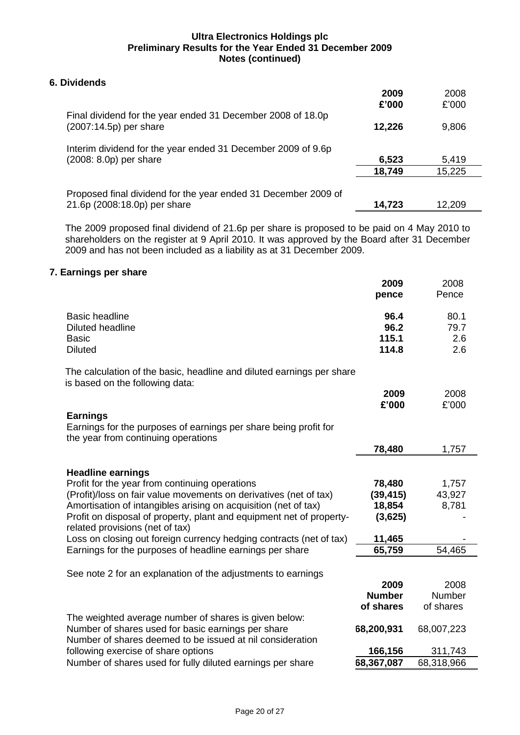### **6. Dividends**

|                                                                                        | 2009<br>£'000 | 2008<br>£'000 |
|----------------------------------------------------------------------------------------|---------------|---------------|
| Final dividend for the year ended 31 December 2008 of 18.0p<br>(2007:14.5p) per share  | 12,226        | 9,806         |
| Interim dividend for the year ended 31 December 2009 of 9.6p<br>(2008: 8.0p) per share | 6,523         | 5,419         |
|                                                                                        | 18,749        | 15,225        |
| Proposed final dividend for the year ended 31 December 2009 of                         |               |               |
| 21.6p (2008:18.0p) per share                                                           | 14,723        | 12,209        |

The 2009 proposed final dividend of 21.6p per share is proposed to be paid on 4 May 2010 to shareholders on the register at 9 April 2010. It was approved by the Board after 31 December 2009 and has not been included as a liability as at 31 December 2009.

#### **7. Earnings per share**

|                                                                                                                            | 2009                           | 2008                       |
|----------------------------------------------------------------------------------------------------------------------------|--------------------------------|----------------------------|
|                                                                                                                            | pence                          | Pence                      |
| <b>Basic headline</b><br><b>Diluted headline</b><br><b>Basic</b><br><b>Diluted</b>                                         | 96.4<br>96.2<br>115.1<br>114.8 | 80.1<br>79.7<br>2.6<br>2.6 |
| The calculation of the basic, headline and diluted earnings per share<br>is based on the following data:                   |                                |                            |
|                                                                                                                            | 2009<br>£'000                  | 2008<br>£'000              |
| <b>Earnings</b><br>Earnings for the purposes of earnings per share being profit for<br>the year from continuing operations |                                |                            |
|                                                                                                                            | 78,480                         | 1,757                      |
| <b>Headline earnings</b>                                                                                                   |                                |                            |
| Profit for the year from continuing operations                                                                             | 78,480                         | 1,757                      |
| (Profit)/loss on fair value movements on derivatives (net of tax)                                                          | (39, 415)                      | 43,927                     |
| Amortisation of intangibles arising on acquisition (net of tax)                                                            | 18,854                         | 8,781                      |
| Profit on disposal of property, plant and equipment net of property-<br>related provisions (net of tax)                    | (3,625)                        |                            |
| Loss on closing out foreign currency hedging contracts (net of tax)                                                        | 11,465                         |                            |
| Earnings for the purposes of headline earnings per share                                                                   | 65,759                         | 54,465                     |
| See note 2 for an explanation of the adjustments to earnings                                                               |                                |                            |
|                                                                                                                            | 2009                           | 2008                       |
|                                                                                                                            | <b>Number</b>                  | Number                     |
|                                                                                                                            | of shares                      | of shares                  |
| The weighted average number of shares is given below:                                                                      |                                |                            |
| Number of shares used for basic earnings per share                                                                         | 68,200,931                     | 68,007,223                 |
| Number of shares deemed to be issued at nil consideration                                                                  |                                |                            |
| following exercise of share options                                                                                        | 166,156                        | 311,743                    |
| Number of shares used for fully diluted earnings per share                                                                 | 68,367,087                     | 68,318,966                 |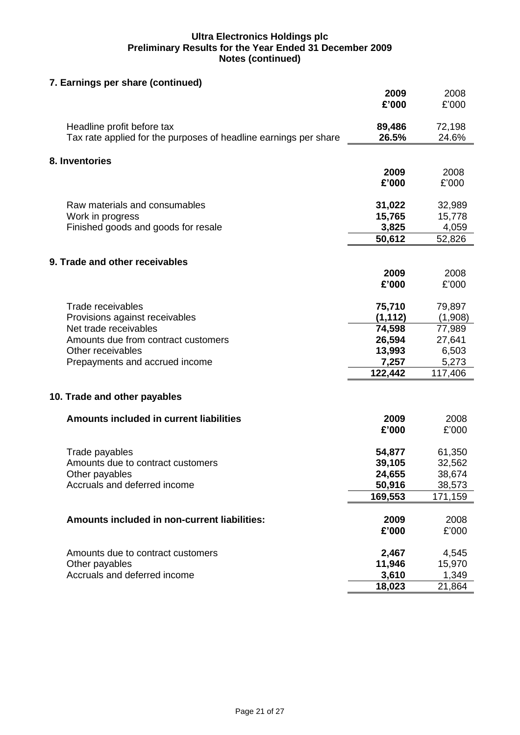| 7. Earnings per share (continued)                                |          |         |
|------------------------------------------------------------------|----------|---------|
|                                                                  | 2009     | 2008    |
|                                                                  | £'000    | £'000   |
|                                                                  |          |         |
| Headline profit before tax                                       | 89,486   | 72,198  |
| Tax rate applied for the purposes of headline earnings per share | 26.5%    | 24.6%   |
| 8. Inventories                                                   |          |         |
|                                                                  | 2009     | 2008    |
|                                                                  | £'000    | £'000   |
|                                                                  |          |         |
| Raw materials and consumables                                    | 31,022   | 32,989  |
| Work in progress                                                 | 15,765   | 15,778  |
| Finished goods and goods for resale                              | 3,825    | 4,059   |
|                                                                  | 50,612   | 52,826  |
| 9. Trade and other receivables                                   |          |         |
|                                                                  | 2009     | 2008    |
|                                                                  | £'000    | £'000   |
|                                                                  |          |         |
| Trade receivables                                                | 75,710   | 79,897  |
| Provisions against receivables                                   | (1, 112) | (1,908) |
| Net trade receivables                                            | 74,598   | 77,989  |
| Amounts due from contract customers                              | 26,594   | 27,641  |
| Other receivables                                                | 13,993   | 6,503   |
| Prepayments and accrued income                                   | 7,257    | 5,273   |
|                                                                  | 122,442  | 117,406 |
|                                                                  |          |         |
| 10. Trade and other payables                                     |          |         |
| <b>Amounts included in current liabilities</b>                   | 2009     | 2008    |
|                                                                  | £'000    | £'000   |
|                                                                  |          |         |
| Trade payables                                                   | 54,877   | 61,350  |
| Amounts due to contract customers                                | 39,105   | 32,562  |
| Other payables                                                   | 24,655   | 38,674  |
| Accruals and deferred income                                     | 50,916   | 38,573  |
|                                                                  | 169,553  | 171,159 |
|                                                                  |          |         |
| Amounts included in non-current liabilities:                     | 2009     | 2008    |
|                                                                  | £'000    | £'000   |
| Amounts due to contract customers                                | 2,467    | 4,545   |
| Other payables                                                   | 11,946   | 15,970  |
| Accruals and deferred income                                     | 3,610    | 1,349   |
|                                                                  | 18,023   | 21,864  |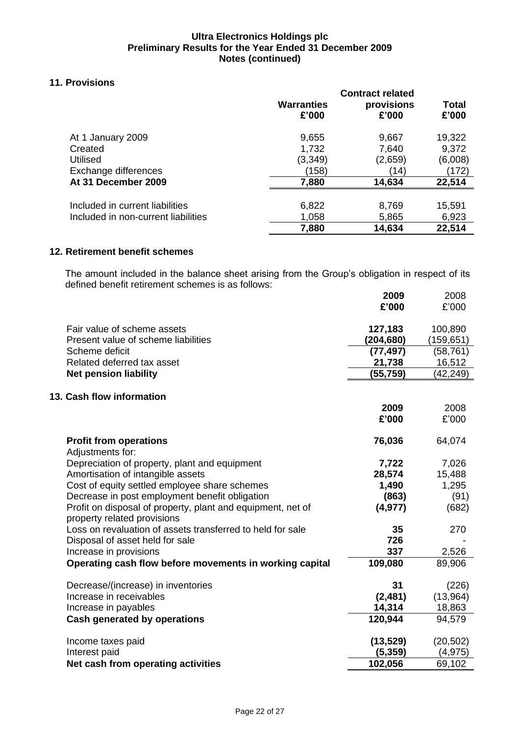## **11. Provisions**

|                                     | <b>Warranties</b><br>£'000 | <b>Contract related</b><br>provisions<br>£'000 | Total<br>£'000 |
|-------------------------------------|----------------------------|------------------------------------------------|----------------|
| At 1 January 2009                   | 9,655                      | 9,667                                          | 19,322         |
| Created                             | 1,732                      | 7,640                                          | 9,372          |
| <b>Utilised</b>                     | (3,349)                    | (2,659)                                        | (6,008)        |
| Exchange differences                | (158)                      | (14)                                           | (172)          |
| At 31 December 2009                 | 7,880                      | 14,634                                         | 22,514         |
| Included in current liabilities     | 6,822                      | 8,769                                          | 15,591         |
| Included in non-current liabilities | 1,058                      | 5,865                                          | 6,923          |
|                                     | 7,880                      | 14,634                                         | 22,514         |

#### **12. Retirement benefit schemes**

The amount included in the balance sheet arising from the Group's obligation in respect of its defined benefit retirement schemes is as follows:

|                                                               | 2009              | 2008              |
|---------------------------------------------------------------|-------------------|-------------------|
|                                                               | £'000             | £'000             |
|                                                               |                   |                   |
| Fair value of scheme assets                                   | 127,183           | 100,890           |
| Present value of scheme liabilities                           | (204, 680)        | (159, 651)        |
| Scheme deficit                                                | (77, 497)         | (58, 761)         |
| Related deferred tax asset                                    | 21,738            | 16,512            |
| <b>Net pension liability</b>                                  | (55, 759)         | (42,249)          |
|                                                               |                   |                   |
| 13. Cash flow information                                     |                   |                   |
|                                                               | 2009              | 2008              |
|                                                               | £'000             | £'000             |
| <b>Profit from operations</b>                                 | 76,036            | 64,074            |
| Adjustments for:                                              |                   |                   |
| Depreciation of property, plant and equipment                 | 7,722             | 7,026             |
| Amortisation of intangible assets                             | 28,574            | 15,488            |
| Cost of equity settled employee share schemes                 | 1,490             | 1,295             |
| Decrease in post employment benefit obligation                | (863)             | (91)              |
| Profit on disposal of property, plant and equipment, net of   | (4, 977)          | (682)             |
| property related provisions                                   |                   |                   |
| Loss on revaluation of assets transferred to held for sale    | 35                | 270               |
| Disposal of asset held for sale                               | 726               |                   |
| Increase in provisions                                        | 337               | 2,526             |
| Operating cash flow before movements in working capital       | 109,080           | 89,906            |
|                                                               |                   |                   |
| Decrease/(increase) in inventories<br>Increase in receivables | 31<br>(2, 481)    | (226)<br>(13,964) |
|                                                               |                   |                   |
| Increase in payables<br>Cash generated by operations          | 14,314<br>120,944 | 18,863<br>94,579  |
|                                                               |                   |                   |
| Income taxes paid                                             | (13, 529)         | (20, 502)         |
| Interest paid                                                 | (5, 359)          | (4, 975)          |
| Net cash from operating activities                            | 102,056           | 69,102            |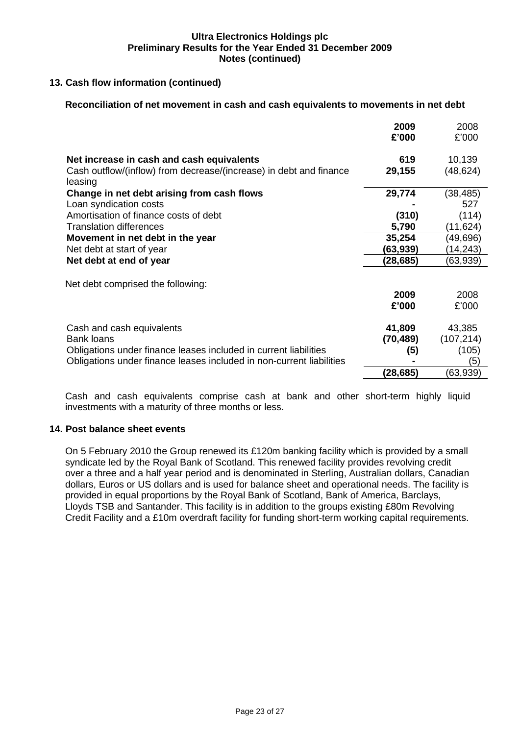#### **13. Cash flow information (continued)**

#### **Reconciliation of net movement in cash and cash equivalents to movements in net debt**

|                                                                               | 2009      | 2008       |
|-------------------------------------------------------------------------------|-----------|------------|
|                                                                               | £'000     | £'000      |
| Net increase in cash and cash equivalents                                     | 619       | 10,139     |
| Cash outflow/(inflow) from decrease/(increase) in debt and finance<br>leasing | 29,155    | (48, 624)  |
| Change in net debt arising from cash flows                                    | 29,774    | (38, 485)  |
| Loan syndication costs                                                        |           | 527        |
| Amortisation of finance costs of debt                                         | (310)     | (114)      |
| <b>Translation differences</b>                                                | 5,790     | (11,624)   |
| Movement in net debt in the year                                              | 35,254    | (49,696)   |
| Net debt at start of year                                                     | (63,939)  | (14, 243)  |
| Net debt at end of year                                                       | (28,685)  | (63,939)   |
|                                                                               |           |            |
| Net debt comprised the following:                                             |           |            |
|                                                                               | 2009      | 2008       |
|                                                                               | £'000     | £'000      |
| Cash and cash equivalents                                                     | 41,809    | 43,385     |
| <b>Bank loans</b>                                                             | (70, 489) | (107, 214) |
| Obligations under finance leases included in current liabilities              | (5)       | (105)      |
| Obligations under finance leases included in non-current liabilities          |           | (5)        |
|                                                                               | (28,685)  | (63,939)   |

Cash and cash equivalents comprise cash at bank and other short-term highly liquid investments with a maturity of three months or less.

#### **14. Post balance sheet events**

On 5 February 2010 the Group renewed its £120m banking facility which is provided by a small syndicate led by the Royal Bank of Scotland. This renewed facility provides revolving credit over a three and a half year period and is denominated in Sterling, Australian dollars, Canadian dollars, Euros or US dollars and is used for balance sheet and operational needs. The facility is provided in equal proportions by the Royal Bank of Scotland, Bank of America, Barclays, Lloyds TSB and Santander. This facility is in addition to the groups existing £80m Revolving Credit Facility and a £10m overdraft facility for funding short-term working capital requirements.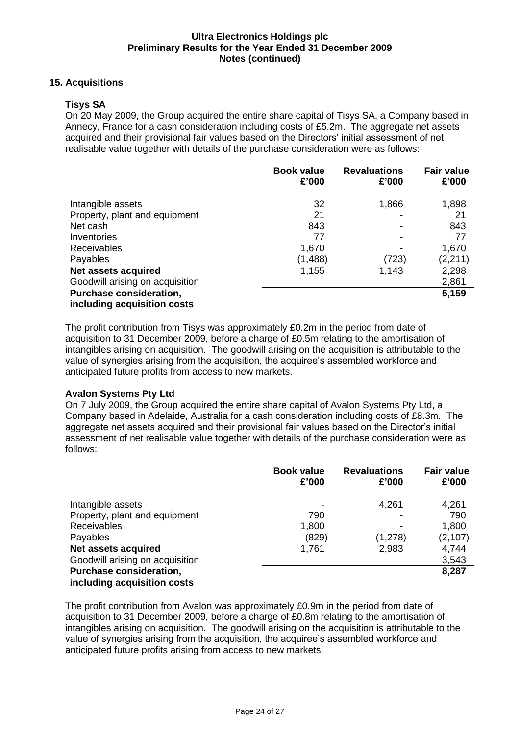#### **15. Acquisitions**

#### **Tisys SA**

On 20 May 2009, the Group acquired the entire share capital of Tisys SA, a Company based in Annecy, France for a cash consideration including costs of £5.2m. The aggregate net assets acquired and their provisional fair values based on the Directors' initial assessment of net realisable value together with details of the purchase consideration were as follows:

|                                                        | <b>Book value</b><br>£'000 | <b>Revaluations</b><br>£'000 | <b>Fair value</b><br>£'000 |
|--------------------------------------------------------|----------------------------|------------------------------|----------------------------|
| Intangible assets                                      | 32                         | 1,866                        | 1,898                      |
| Property, plant and equipment                          | 21                         |                              | 21                         |
| Net cash                                               | 843                        |                              | 843                        |
| Inventories                                            | 77                         | -                            | 77                         |
| <b>Receivables</b>                                     | 1,670                      |                              | 1,670                      |
| Payables                                               | (1,488)                    | (723)                        | (2, 211)                   |
| Net assets acquired                                    | 1,155                      | 1,143                        | 2,298                      |
| Goodwill arising on acquisition                        |                            |                              | 2,861                      |
| Purchase consideration,<br>including acquisition costs |                            |                              | 5,159                      |

The profit contribution from Tisys was approximately £0.2m in the period from date of acquisition to 31 December 2009, before a charge of £0.5m relating to the amortisation of intangibles arising on acquisition. The goodwill arising on the acquisition is attributable to the value of synergies arising from the acquisition, the acquiree's assembled workforce and anticipated future profits from access to new markets.

#### **Avalon Systems Pty Ltd**

On 7 July 2009, the Group acquired the entire share capital of Avalon Systems Pty Ltd, a Company based in Adelaide, Australia for a cash consideration including costs of £8.3m. The aggregate net assets acquired and their provisional fair values based on the Director's initial assessment of net realisable value together with details of the purchase consideration were as follows:

|                                                        | <b>Book value</b><br>£'000 | <b>Revaluations</b><br>£'000 | <b>Fair value</b><br>£'000 |
|--------------------------------------------------------|----------------------------|------------------------------|----------------------------|
| Intangible assets                                      |                            | 4,261                        | 4,261                      |
| Property, plant and equipment                          | 790                        |                              | 790                        |
| <b>Receivables</b>                                     | 1,800                      | $\overline{\phantom{0}}$     | 1,800                      |
| Payables                                               | (829)                      | (1,278)                      | (2, 107)                   |
| Net assets acquired                                    | 1,761                      | 2,983                        | 4,744                      |
| Goodwill arising on acquisition                        |                            |                              | 3,543                      |
| Purchase consideration,<br>including acquisition costs |                            |                              | 8,287                      |

The profit contribution from Avalon was approximately £0.9m in the period from date of acquisition to 31 December 2009, before a charge of £0.8m relating to the amortisation of intangibles arising on acquisition. The goodwill arising on the acquisition is attributable to the value of synergies arising from the acquisition, the acquiree's assembled workforce and anticipated future profits arising from access to new markets.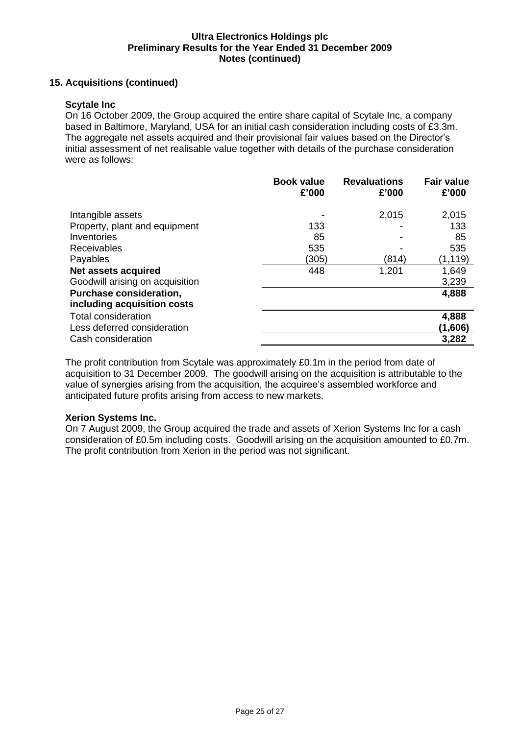#### **15. Acquisitions (continued)**

#### **Scytale Inc**

On 16 October 2009, the Group acquired the entire share capital of Scytale Inc, a company based in Baltimore, Maryland, USA for an initial cash consideration including costs of £3.3m. The aggregate net assets acquired and their provisional fair values based on the Director's initial assessment of net realisable value together with details of the purchase consideration were as follows:

|                                                                                                                         | <b>Book value</b><br>£'000 | <b>Revaluations</b><br>£'000 | <b>Fair value</b><br>£'000 |
|-------------------------------------------------------------------------------------------------------------------------|----------------------------|------------------------------|----------------------------|
| Intangible assets<br>Property, plant and equipment<br>Inventories<br><b>Receivables</b>                                 | 133<br>85<br>535           | 2,015                        | 2,015<br>133<br>85<br>535  |
| Payables                                                                                                                | (305)                      | (814)                        | (1, 119)                   |
| <b>Net assets acquired</b><br>Goodwill arising on acquisition<br>Purchase consideration,<br>including acquisition costs | 448                        | 1,201                        | 1,649<br>3,239<br>4,888    |
| Total consideration<br>Less deferred consideration<br>Cash consideration                                                |                            |                              | 4,888<br>(1,606)<br>3,282  |

The profit contribution from Scytale was approximately £0.1m in the period from date of acquisition to 31 December 2009. The goodwill arising on the acquisition is attributable to the value of synergies arising from the acquisition, the acquiree's assembled workforce and anticipated future profits arising from access to new markets.

#### **Xerion Systems Inc.**

On 7 August 2009, the Group acquired the trade and assets of Xerion Systems Inc for a cash consideration of £0.5m including costs. Goodwill arising on the acquisition amounted to £0.7m. The profit contribution from Xerion in the period was not significant.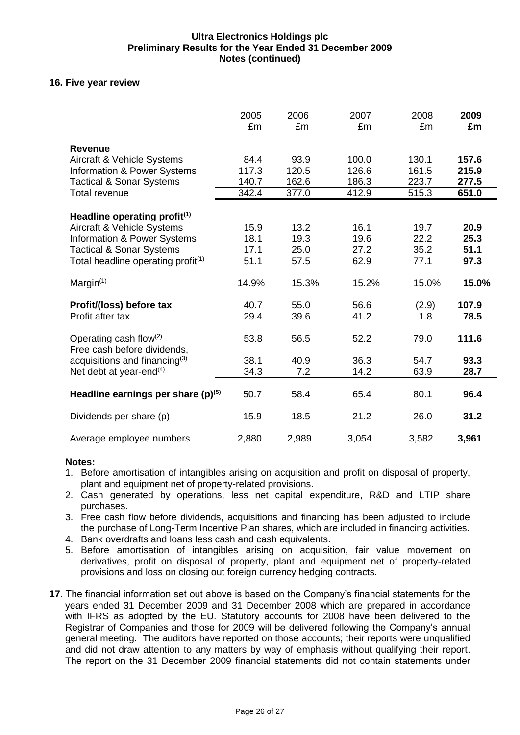#### **16. Five year review**

|                                                                                       | 2005<br>£m     | 2006<br>£m     | 2007<br>£m     | 2008<br>£m     | 2009<br>£m     |
|---------------------------------------------------------------------------------------|----------------|----------------|----------------|----------------|----------------|
| <b>Revenue</b><br>Aircraft & Vehicle Systems<br>Information & Power Systems           | 84.4<br>117.3  | 93.9<br>120.5  | 100.0<br>126.6 | 130.1<br>161.5 | 157.6<br>215.9 |
| <b>Tactical &amp; Sonar Systems</b><br><b>Total revenue</b>                           | 140.7<br>342.4 | 162.6<br>377.0 | 186.3<br>412.9 | 223.7<br>515.3 | 277.5<br>651.0 |
| Headline operating profit <sup>(1)</sup>                                              |                |                |                |                |                |
| Aircraft & Vehicle Systems<br><b>Information &amp; Power Systems</b>                  | 15.9<br>18.1   | 13.2<br>19.3   | 16.1<br>19.6   | 19.7<br>22.2   | 20.9<br>25.3   |
| <b>Tactical &amp; Sonar Systems</b><br>Total headline operating profit <sup>(1)</sup> | 17.1<br>51.1   | 25.0<br>57.5   | 27.2<br>62.9   | 35.2<br>77.1   | 51.1<br>97.3   |
| Margin $(1)$                                                                          | 14.9%          | 15.3%          | 15.2%          | 15.0%          | 15.0%          |
| Profit/(loss) before tax<br>Profit after tax                                          | 40.7<br>29.4   | 55.0<br>39.6   | 56.6<br>41.2   | (2.9)<br>1.8   | 107.9<br>78.5  |
| Operating cash flow $(2)$<br>Free cash before dividends,                              | 53.8           | 56.5           | 52.2           | 79.0           | 111.6          |
| acquisitions and financing $(3)$<br>Net debt at year-end <sup>(4)</sup>               | 38.1<br>34.3   | 40.9<br>7.2    | 36.3<br>14.2   | 54.7<br>63.9   | 93.3<br>28.7   |
| Headline earnings per share $(p)^{(5)}$                                               | 50.7           | 58.4           | 65.4           | 80.1           | 96.4           |
| Dividends per share (p)                                                               | 15.9           | 18.5           | 21.2           | 26.0           | 31.2           |
| Average employee numbers                                                              | 2,880          | 2,989          | 3,054          | 3,582          | 3,961          |

#### **Notes:**

- 1. Before amortisation of intangibles arising on acquisition and profit on disposal of property, plant and equipment net of property-related provisions.
- 2. Cash generated by operations, less net capital expenditure, R&D and LTIP share purchases.
- 3. Free cash flow before dividends, acquisitions and financing has been adjusted to include the purchase of Long-Term Incentive Plan shares, which are included in financing activities.
- 4. Bank overdrafts and loans less cash and cash equivalents.
- 5. Before amortisation of intangibles arising on acquisition, fair value movement on derivatives, profit on disposal of property, plant and equipment net of property-related provisions and loss on closing out foreign currency hedging contracts.
- **17**. The financial information set out above is based on the Company's financial statements for the years ended 31 December 2009 and 31 December 2008 which are prepared in accordance with IFRS as adopted by the EU. Statutory accounts for 2008 have been delivered to the Registrar of Companies and those for 2009 will be delivered following the Company's annual general meeting. The auditors have reported on those accounts; their reports were unqualified and did not draw attention to any matters by way of emphasis without qualifying their report. The report on the 31 December 2009 financial statements did not contain statements under